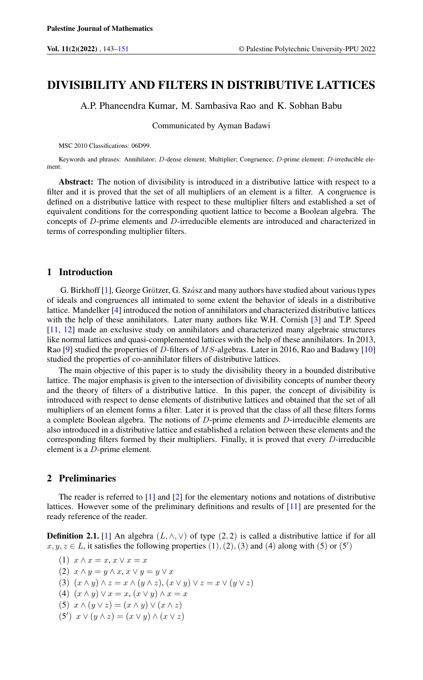# DIVISIBILITY AND FILTERS IN DISTRIBUTIVE LATTICES

A.P. Phaneendra Kumar, M. Sambasiva Rao and K. Sobhan Babu

Communicated by Ayman Badawi

MSC 2010 Classifications: 06D99.

Keywords and phrases: Annihilator; D-dense element; Multiplier; Congruence; D-prime element; D-irreducible element.

Abstract: The notion of divisibility is introduced in a distributive lattice with respect to a filter and it is proved that the set of all multipliers of an element is a filter. A congruence is defined on a distributive lattice with respect to these multiplier filters and established a set of equivalent conditions for the corresponding quotient lattice to become a Boolean algebra. The concepts of D-prime elements and D-irreducible elements are introduced and characterized in terms of corresponding multiplier filters.

## 1 Introduction

G. Birkhoff  $[1]$ , George Grätzer, G. Szász and many authors have studied about various types of ideals and congruences all intimated to some extent the behavior of ideals in a distributive lattice. Mandelker [\[4\]](#page-7-2) introduced the notion of annihilators and characterized distributive lattices with the help of these annihilators. Later many authors like W.H. Cornish [\[3\]](#page-7-3) and T.P. Speed [\[11,](#page-8-0) [12\]](#page-8-1) made an exclusive study on annihilators and characterized many algebraic structures like normal lattices and quasi-complemented lattices with the help of these annihilators. In 2013, Rao [\[9\]](#page-8-2) studied the properties of D-filters of MS-algebras. Later in 2016, Rao and Badawy [\[10\]](#page-8-3) studied the properties of co-annihilator filters of distributive lattices.

The main objective of this paper is to study the divisibility theory in a bounded distributive lattice. The major emphasis is given to the intersection of divisibility concepts of number theory and the theory of filters of a distributive lattice. In this paper, the concept of divisibility is introduced with respect to dense elements of distributive lattices and obtained that the set of all multipliers of an element forms a filter. Later it is proved that the class of all these filters forms a complete Boolean algebra. The notions of D-prime elements and D-irreducible elements are also introduced in a distributive lattice and established a relation between these elements and the corresponding filters formed by their multipliers. Finally, it is proved that every  $D$ -irreducible element is a D-prime element.

#### 2 Preliminaries

The reader is referred to [\[1\]](#page-7-1) and [\[2\]](#page-7-4) for the elementary notions and notations of distributive lattices. However some of the preliminary definitions and results of [\[11\]](#page-8-0) are presented for the ready reference of the reader.

**Definition 2.1.** [\[1\]](#page-7-1) An algebra  $(L, \wedge, \vee)$  of type (2, 2) is called a distributive lattice if for all  $x, y, z \in L$ , it satisfies the following properties  $(1), (2), (3)$  and  $(4)$  along with  $(5)$  or  $(5')$ 

- (1)  $x \wedge x = x, x \vee x = x$
- (2)  $x \wedge y = y \wedge x, x \vee y = y \vee x$
- (3)  $(x \wedge y) \wedge z = x \wedge (y \wedge z), (x \vee y) \vee z = x \vee (y \vee z)$
- (4)  $(x \wedge y) \vee x = x, (x \vee y) \wedge x = x$
- (5)  $x \wedge (y \vee z) = (x \wedge y) \vee (x \wedge z)$
- (5')  $x \vee (y \wedge z) = (x \vee y) \wedge (x \vee z)$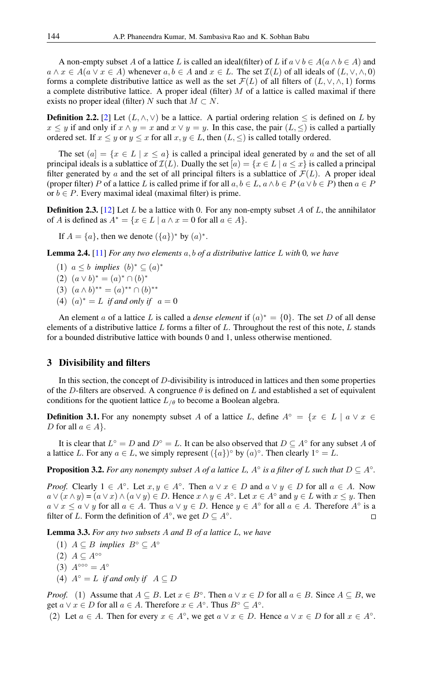A non-empty subset A of a lattice L is called an ideal(filter) of L if  $a \lor b \in A(a \land b \in A)$  and  $a \wedge x \in A$ ( $a \vee x \in A$ ) whenever  $a, b \in A$  and  $x \in L$ . The set  $\mathcal{I}(L)$  of all ideals of  $(L, \vee, \wedge, 0)$ forms a complete distributive lattice as well as the set  $\mathcal{F}(L)$  of all filters of  $(L, \vee, \wedge, 1)$  forms a complete distributive lattice. A proper ideal (filter)  $M$  of a lattice is called maximal if there exists no proper ideal (filter) N such that  $M \subset N$ .

**Definition 2.2.** [\[2\]](#page-7-4) Let  $(L, \wedge, \vee)$  be a lattice. A partial ordering relation  $\leq$  is defined on L by  $x \leq y$  if and only if  $x \wedge y = x$  and  $x \vee y = y$ . In this case, the pair  $(L, \leq)$  is called a partially ordered set. If  $x \leq y$  or  $y \leq x$  for all  $x, y \in L$ , then  $(L, \leq)$  is called totally ordered.

The set  $(a) = \{x \in L \mid x \le a\}$  is called a principal ideal generated by a and the set of all principal ideals is a sublattice of  $\mathcal{I}(L)$ . Dually the set  $[a] = \{x \in L \mid a \leq x\}$  is called a principal filter generated by a and the set of all principal filters is a sublattice of  $\mathcal{F}(L)$ . A proper ideal (proper filter) P of a lattice L is called prime if for all  $a, b \in L$ ,  $a \wedge b \in P$  ( $a \vee b \in P$ ) then  $a \in P$ or  $b \in P$ . Every maximal ideal (maximal filter) is prime.

**Definition 2.3.** [\[12\]](#page-8-1) Let L be a lattice with 0. For any non-empty subset A of L, the annihilator of A is defined as  $A^* = \{x \in L \mid a \wedge x = 0 \text{ for all } a \in A\}.$ 

If  $A = \{a\}$ , then we denote  $(\{a\})^*$  by  $(a)^*$ .

Lemma 2.4. [\[11\]](#page-8-0) *For any two elements* a, b *of a distributive lattice* L *with* 0*, we have*

- (1)  $a \leq b$  *implies*  $(b)^* \subseteq (a)^*$
- (2)  $(a \vee b)^* = (a)^* \cap (b)^*$
- (3)  $(a \wedge b)^{**} = (a)^{**} \cap (b)^{**}$
- (4)  $(a)^* = L$  *if and only if*  $a = 0$

An element a of a lattice L is called a *dense element* if  $(a)^* = \{0\}$ . The set D of all dense elements of a distributive lattice  $L$  forms a filter of  $L$ . Throughout the rest of this note,  $L$  stands for a bounded distributive lattice with bounds 0 and 1, unless otherwise mentioned.

#### 3 Divisibility and filters

In this section, the concept of D-divisibility is introduced in lattices and then some properties of the D-filters are observed. A congruence  $\theta$  is defined on L and established a set of equivalent conditions for the quotient lattice  $L_{\ell\theta}$  to become a Boolean algebra.

**Definition 3.1.** For any nonempty subset A of a lattice L, define  $A^\circ = \{x \in L \mid a \vee x \in$ D for all  $a \in A$ .

It is clear that  $L^{\circ} = D$  and  $D^{\circ} = L$ . It can be also observed that  $D \subseteq A^{\circ}$  for any subset A of a lattice L. For any  $a \in L$ , we simply represent  $({a})^{\circ}$  by  $(a)^{\circ}$ . Then clearly  $1^{\circ} = L$ .

**Proposition 3.2.** For any nonempty subset A of a lattice L,  $A^{\circ}$  is a filter of L such that  $D \subseteq A^{\circ}$ .

*Proof.* Clearly  $1 \in A^\circ$ . Let  $x, y \in A^\circ$ . Then  $a \lor x \in D$  and  $a \lor y \in D$  for all  $a \in A$ . Now  $a \vee (x \wedge y) = (a \vee x) \wedge (a \vee y) \in D$ . Hence  $x \wedge y \in A^{\circ}$ . Let  $x \in A^{\circ}$  and  $y \in L$  with  $x \leq y$ . Then  $a \vee x \le a \vee y$  for all  $a \in A$ . Thus  $a \vee y \in D$ . Hence  $y \in A^{\circ}$  for all  $a \in A$ . Therefore  $A^{\circ}$  is a filter of L. Form the definition of  $A^\circ$ , we get  $D \subseteq A^\circ$ .  $\Box$ 

Lemma 3.3. *For any two subsets* A *and* B *of a lattice* L*, we have*

- (1)  $A \subseteq B$  *implies*  $B^{\circ} \subseteq A^{\circ}$
- $(2)$   $A \subseteq A^{\circ\circ}$
- (3)  $A^{\circ\circ\circ} = A^{\circ}$
- (4)  $A^\circ = L$  *if and only if*  $A \subseteq D$

*Proof.* (1) Assume that  $A \subseteq B$ . Let  $x \in B^\circ$ . Then  $a \lor x \in D$  for all  $a \in B$ . Since  $A \subseteq B$ , we get  $a \lor x \in D$  for all  $a \in A$ . Therefore  $x \in A^{\circ}$ . Thus  $B^{\circ} \subseteq A^{\circ}$ .

(2) Let  $a \in A$ . Then for every  $x \in A^{\circ}$ , we get  $a \lor x \in D$ . Hence  $a \lor x \in D$  for all  $x \in A^{\circ}$ .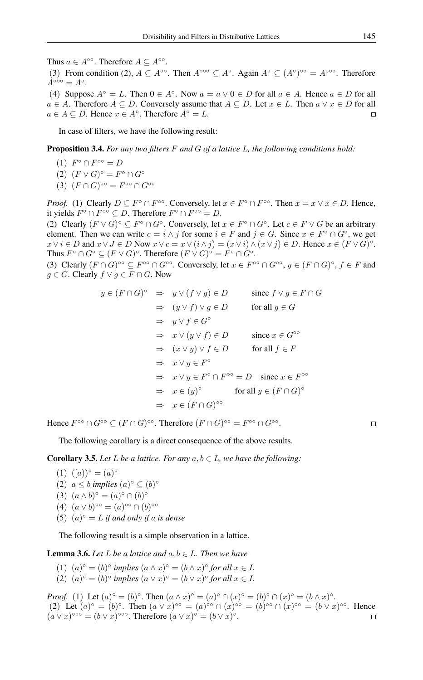Thus  $a \in A^{\circ\circ}$ . Therefore  $A \subseteq A^{\circ\circ}$ .

(3) From condition (2),  $A \subseteq A^{\circ\circ}$ . Then  $A^{\circ\circ\circ} \subseteq A^{\circ}$ . Again  $A^{\circ} \subseteq (A^{\circ})^{\circ\circ} = A^{\circ\circ\circ}$ . Therefore  $A^{\circ\circ\circ} = A^{\circ}.$ 

(4) Suppose  $A^{\circ} = L$ . Then  $0 \in A^{\circ}$ . Now  $a = a \vee 0 \in D$  for all  $a \in A$ . Hence  $a \in D$  for all  $a \in A$ . Therefore  $A \subseteq D$ . Conversely assume that  $A \subseteq D$ . Let  $x \in L$ . Then  $a \vee x \in D$  for all  $a \in A \subseteq D$ . Hence  $x \in A^{\circ}$ . Therefore  $A^{\circ} = L$ .  $\Box$ 

In case of filters, we have the following result:

Proposition 3.4. *For any two filters* F *and* G *of a lattice* L*, the following conditions hold:*

- $(1)$   $F^{\circ} \cap F^{\circ} = D$
- $(2)$   $(F \vee G)^{\circ} = F^{\circ} \cap G^{\circ}$
- $(3)$   $(F \cap G)^{\circ \circ} = F^{\circ \circ} \cap G^{\circ \circ}$

*Proof.* (1) Clearly  $D \subseteq F^{\circ} \cap F^{\circ\circ}$ . Conversely, let  $x \in F^{\circ} \cap F^{\circ\circ}$ . Then  $x = x \lor x \in D$ . Hence, it yields  $F^{\circ} \cap F^{\circ \circ} \subseteq D$ . Therefore  $F^{\circ} \cap F^{\circ \circ} = D$ .

(2) Clearly  $(F \vee G)^{\circ} \subseteq F^{\circ} \cap G^{\circ}$ . Conversely, let  $x \in F^{\circ} \cap G^{\circ}$ . Let  $c \in F \vee G$  be an arbitrary element. Then we can write  $c = i \wedge j$  for some  $i \in F$  and  $j \in G$ . Since  $x \in F^{\circ} \cap G^{\circ}$ , we get  $x \vee i \in D$  and  $x \vee J \in D$  Now  $x \vee c = x \vee (i \wedge j) = (x \vee i) \wedge (x \vee j) \in D$ . Hence  $x \in (F \vee G)^{\circ}$ . Thus  $F \circ \cap G \circ \subseteq (F \vee G) \circ$ . Therefore  $(F \vee G) \circ = F \circ \cap G \circ$ .

(3) Clearly  $(F \cap G)^\circ \subseteq F^\circ \cap G^\circ \circ$ . Conversely, let  $x \in F^\circ \cap G^\circ \circ$ ,  $y \in (F \cap G)^\circ$ ,  $f \in F$  and  $g \in G$ . Clearly  $f \vee g \in F \cap G$ . Now

$$
y \in (F \cap G)^{\circ} \Rightarrow y \vee (f \vee g) \in D \qquad \text{since } f \vee g \in F \cap G
$$
  
\n
$$
\Rightarrow (y \vee f) \vee g \in D \qquad \text{for all } g \in G
$$
  
\n
$$
\Rightarrow y \vee f \in G^{\circ}
$$
  
\n
$$
\Rightarrow x \vee (y \vee f) \in D \qquad \text{since } x \in G^{\circ \circ}
$$
  
\n
$$
\Rightarrow (x \vee y) \vee f \in D \qquad \text{for all } f \in F
$$
  
\n
$$
\Rightarrow x \vee y \in F^{\circ}
$$
  
\n
$$
\Rightarrow x \vee y \in F^{\circ} \cap F^{\circ \circ} = D \quad \text{since } x \in F^{\circ \circ}
$$
  
\n
$$
\Rightarrow x \in (y)^{\circ} \qquad \text{for all } y \in (F \cap G)^{\circ}
$$
  
\n
$$
\Rightarrow x \in (F \cap G)^{\circ \circ}
$$

Hence  $F^{\circ\circ} \cap G^{\circ\circ} \subseteq (F \cap G)^{\circ\circ}$ . Therefore  $(F \cap G)^{\circ\circ} = F^{\circ\circ} \cap G^{\circ\circ}$ .

 $\Box$ 

The following corollary is a direct consequence of the above results.

**Corollary 3.5.** Let L be a lattice. For any  $a, b \in L$ , we have the following:

- $(1)$   $([a))^{\circ} = (a)^{\circ}$
- (2)  $a \leq b$  *implies*  $(a)^\circ \subseteq (b)^\circ$
- (3)  $(a \wedge b)^{\circ} = (a)^{\circ} \cap (b)^{\circ}$
- (4)  $(a \vee b)$ <sup>°</sup>° =  $(a)$ <sup>°</sup>° ∩  $(b)$ <sup>°</sup>°
- (5)  $(a)^\circ = L$  *if and only if a is dense*

The following result is a simple observation in a lattice.

**Lemma 3.6.** *Let*  $L$  *be a lattice and*  $a, b \in L$ *. Then we have* 

- (1)  $(a)^\circ = (b)^\circ$  *implies*  $(a \wedge x)^\circ = (b \wedge x)^\circ$  *for all*  $x \in L$
- (2)  $(a)^\circ = (b)^\circ$  *implies*  $(a \lor x)^\circ = (b \lor x)^\circ$  *for all*  $x \in L$

*Proof.* (1) Let  $(a)^\circ = (b)^\circ$ . Then  $(a \wedge x)^\circ = (a)^\circ \cap (x)^\circ = (b)^\circ \cap (x)^\circ = (b \wedge x)^\circ$ . (2) Let  $(a)^\circ = (b)^\circ$ . Then  $(a \vee x)^\circ = (a)^\circ \cap (x)^\circ = (b)^\circ \cap (x)^\circ = (b \vee x)^\circ$ . Hence  $(a \vee x)^{\circ \circ \circ} = (b \vee x)^{\circ \circ \circ}$ . Therefore  $(a \vee x)^{\circ} = (b \vee x)^{\circ}$ .  $\Box$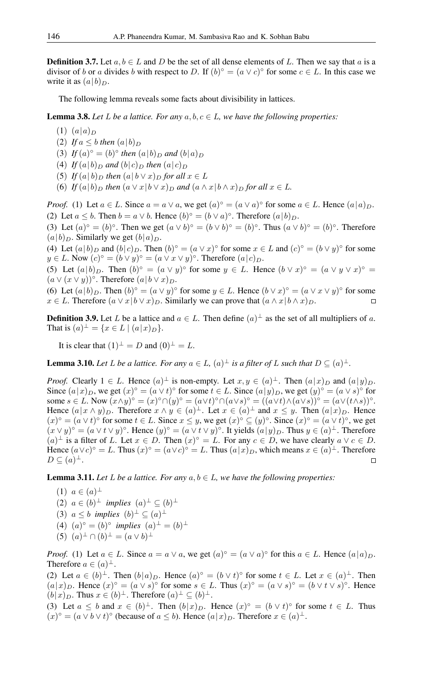**Definition 3.7.** Let  $a, b \in L$  and D be the set of all dense elements of L. Then we say that a is a divisor of b or a divides b with respect to D. If  $(b)^\circ = (a \vee c)^\circ$  for some  $c \in L$ . In this case we write it as  $(a|b)_D$ .

The following lemma reveals some facts about divisibility in lattices.

**Lemma 3.8.** Let L be a lattice. For any  $a, b, c \in L$ , we have the following properties:

- $(1)$   $(a|a)_{D}$
- (2) If  $a \leq b$  *then*  $(a|b)$
- (3) *If*  $(a)^{\circ} = (b)^{\circ}$  *then*  $(a|b)_{D}$  *and*  $(b|a)_{D}$
- (4) *If*  $(a|b)$ <sup>*D*</sup> *and*  $(b|c)$ <sup>*D*</sup> *then*  $(a|c)$ <sup>*D*</sup>
- (5) *If*  $(a|b)_D$  *then*  $(a|b \vee x)_D$  *for all*  $x \in L$
- (6) *If*  $(a|b)_D$  *then*  $(a \vee x|b \vee x)_D$  *and*  $(a \wedge x|b \wedge x)_D$  *for all*  $x \in L$ *.*

*Proof.* (1) Let  $a \in L$ . Since  $a = a \vee a$ , we get  $(a)^\circ = (a \vee a)^\circ$  for some  $a \in L$ . Hence  $(a|a)_D$ . (2) Let  $a \leq b$ . Then  $b = a \vee b$ . Hence  $(b)^\circ = (b \vee a)^\circ$ . Therefore  $(a \mid b)_D$ .

(3) Let  $(a)^\circ = (b)^\circ$ . Then we get  $(a \vee b)^\circ = (b \vee b)^\circ = (b)^\circ$ . Thus  $(a \vee b)^\circ = (b)^\circ$ . Therefore  $(a|b)_D$ . Similarly we get  $(b|a)_D$ .

(4) Let  $(a|b)_D$  and  $(b|c)_D$ . Then  $(b)^\circ = (a \vee x)^\circ$  for some  $x \in L$  and  $(c)^\circ = (b \vee y)^\circ$  for some  $y \in L$ . Now  $(c)^\circ = (b \vee y)^\circ = (a \vee x \vee y)^\circ$ . Therefore  $(a \mid c)_D$ .

(5) Let  $(a|b)_D$ . Then  $(b)^\circ = (a \vee y)^\circ$  for some  $y \in L$ . Hence  $(b \vee x)^\circ = (a \vee y \vee x)^\circ =$  $(a \vee (x \vee y))$ °. Therefore  $(a \mid b \vee x)_{D}$ .

(6) Let  $(a|b)_D$ . Then  $(b)^\circ = (a \vee y)^\circ$  for some  $y \in L$ . Hence  $(b \vee x)^\circ = (a \vee x \vee y)^\circ$  for some  $x \in L$ . Therefore  $(a \vee x | b \vee x)_D$ . Similarly we can prove that  $(a \wedge x | b \wedge x)_D$ .

**Definition 3.9.** Let L be a lattice and  $a \in L$ . Then define  $(a)^{\perp}$  as the set of all multipliers of a. That is  $(a)^{\perp} = \{x \in L \mid (a|x)_D\}.$ 

It is clear that  $(1)^{\perp} = D$  and  $(0)^{\perp} = L$ .

**Lemma 3.10.** Let L be a lattice. For any  $a \in L$ ,  $(a)^{\perp}$  is a filter of L such that  $D \subseteq (a)^{\perp}$ .

*Proof.* Clearly  $1 \in L$ . Hence  $(a)^{\perp}$  is non-empty. Let  $x, y \in (a)^{\perp}$ . Then  $(a|x)_D$  and  $(a|y)_D$ . Since  $(a|x)_D$ , we get  $(x)^\circ = (a \vee t)^\circ$  for some  $t \in L$ . Since  $(a|y)_D$ , we get  $(y)^\circ = (a \vee s)^\circ$  for some  $s \in L$ . Now  $(x \wedge y)^\circ = (x)^\circ \cap (y)^\circ = (a \vee t)^\circ \cap (a \vee s)^\circ = ((a \vee t) \wedge (a \vee s))^\circ = (a \vee (t \wedge s))^\circ$ . Hence  $(a|x \wedge y)$ <sub>D</sub>. Therefore  $x \wedge y \in (a)^{\perp}$ . Let  $x \in (a)^{\perp}$  and  $x \leq y$ . Then  $(a|x)$ <sub>D</sub>. Hence  $(x)^\circ = (a \vee t)^\circ$  for some  $t \in L$ . Since  $x \leq y$ , we get  $(x)^\circ \subseteq (y)^\circ$ . Since  $(x)^\circ = (a \vee t)^\circ$ , we get  $(x \vee y)$ <sup>o</sup> =  $(a \vee t \vee y)$ <sup>o</sup>. Hence  $(y)$ <sup>o</sup> =  $(a \vee t \vee y)$ <sup>o</sup>. It yields  $(a|y)$ <sub>*D*</sub>. Thus  $y \in (a)$ <sup> $\perp$ </sup>. Therefore  $(a)$ <sup>⊥</sup> is a filter of *L*. Let  $x \in D$ . Then  $(x)$ <sup>o</sup> = *L*. For any  $c \in D$ , we have clearly  $a \vee c \in D$ . Hence  $(a \vee c)^{\circ} = L$ . Thus  $(x)^{\circ} = (a \vee c)^{\circ} = L$ . Thus  $(a \mid x)_D$ , which means  $x \in (a)^{\perp}$ . Therefore  $D \subseteq (a)^{\perp}.$  $\Box$ 

**Lemma 3.11.** *Let L be a lattice. For any*  $a, b \in L$ *, we have the following properties:* 

 $(1) a \in (a)^{\perp}$ (2)  $a \in (b)^\perp$  *implies*  $(a)^\perp \subseteq (b)^\perp$ (3)  $a \leq b$  *implies*  $(b)^{\perp} \subseteq (a)^{\perp}$ (4)  $(a)^\circ = (b)^\circ$  *implies*  $(a)^\perp = (b)^\perp$  $(5)$   $(a)^{\perp} \cap (b)^{\perp} = (a \vee b)^{\perp}$ 

*Proof.* (1) Let  $a \in L$ . Since  $a = a \vee a$ , we get  $(a)^\circ = (a \vee a)^\circ$  for this  $a \in L$ . Hence  $(a|a)_D$ . Therefore  $a \in (a)^{\perp}$ .

(2) Let  $a \in (b)^{\perp}$ . Then  $(b|a)_{D}$ . Hence  $(a)^{\circ} = (b \vee t)^{\circ}$  for some  $t \in L$ . Let  $x \in (a)^{\perp}$ . Then  $(a|x)_D$ . Hence  $(x)^\circ = (a \vee s)^\circ$  for some  $s \in L$ . Thus  $(x)^\circ = (a \vee s)^\circ = (b \vee t \vee s)^\circ$ . Hence  $(b|x)_D$ . Thus  $x \in (b)^{\perp}$ . Therefore  $(a)^{\perp} \subseteq (b)^{\perp}$ .

(3) Let  $a \leq b$  and  $x \in (b)^{\perp}$ . Then  $(b|x)_D$ . Hence  $(x)^\circ = (b \vee t)^\circ$  for some  $t \in L$ . Thus  $(x)$ <sup>o</sup> =  $(a \vee b \vee t)$ <sup>o</sup> (because of  $a \leq b$ ). Hence  $(a \mid x)$ <sub>*D*</sub>. Therefore  $x \in (a)$ <sup> $\perp$ </sup>.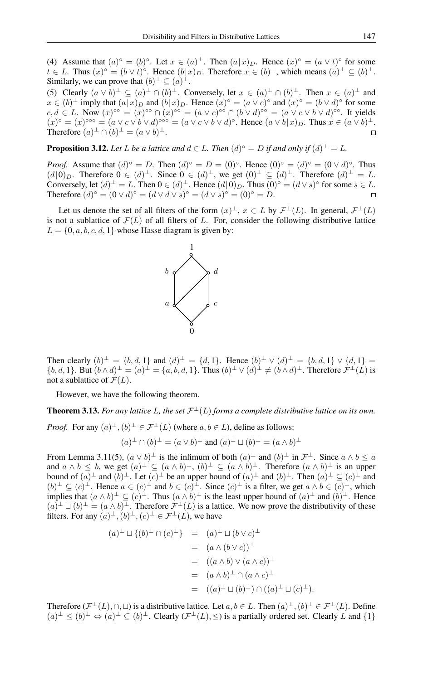(4) Assume that  $(a)^\circ = (b)^\circ$ . Let  $x \in (a)^\perp$ . Then  $(a|x)_D$ . Hence  $(x)^\circ = (a \vee t)^\circ$  for some  $t \in L$ . Thus  $(x)^\circ = (b \vee t)^\circ$ . Hence  $(b|x)_D$ . Therefore  $x \in (b)^\perp$ , which means  $(a)^\perp \subseteq (b)^\perp$ . Similarly, we can prove that  $(b)^{\perp} \subseteq (a)^{\perp}$ .

(5) Clearly  $(a \vee b)^{\perp} \subseteq (a)^{\perp} \cap (b)^{\perp}$ . Conversely, let  $x \in (a)^{\perp} \cap (b)^{\perp}$ . Then  $x \in (a)^{\perp}$  and  $x \in (b)^{\perp}$  imply that  $(a|x)_D$  and  $(b|x)_D$ . Hence  $(x)^\circ = (a \vee c)^\circ$  and  $(x)^\circ = (b \vee d)^\circ$  for some  $c, d \in L$ . Now  $(x)$ <sup>oo</sup> =  $(x)$ <sup>oo</sup>  $\cap (x)$ <sup>oo</sup> =  $(a \vee c)$ <sup>oo</sup>  $\cap (b \vee d)$ <sup>oo</sup> =  $(a \vee c \vee b \vee d)$ <sup>oo</sup>. It yields  $(x)^\circ = (x)^{\circ\circ\circ} = (a \vee c \vee b \vee d)^{\circ\circ\circ} = (a \vee c \vee b \vee d)^\circ$ . Hence  $(a \vee b \vee x)_D$ . Thus  $x \in (a \vee b)^\perp$ . Therefore  $(a)^{\perp} \cap (b)^{\perp} = (a \vee b)^{\perp}$ .

**Proposition 3.12.** Let L be a lattice and  $d \in L$ . Then  $(d)^{\circ} = D$  if and only if  $(d)^{\perp} = L$ .

*Proof.* Assume that  $(d)^\circ = D$ . Then  $(d)^\circ = D = (0)^\circ$ . Hence  $(0)^\circ = (d)^\circ = (0 \vee d)^\circ$ . Thus  $(d|0)_D$ . Therefore  $0 \in (d)^{\perp}$ . Since  $0 \in (d)^{\perp}$ , we get  $(0)^{\perp} \subseteq (d)^{\perp}$ . Therefore  $(d)^{\perp} = L$ . Conversely, let  $(d)^{\perp} = L$ . Then  $0 \in (d)^{\perp}$ . Hence  $(d|0)_D$ . Thus  $(0)^\circ = (d \vee s)^\circ$  for some  $s \in L$ . Therefore  $(d)^{\circ} = (0 \vee d)^{\circ} = (d \vee d \vee s)^{\circ} = (d \vee s)^{\circ} = (0)^{\circ} = D.$ 

Let us denote the set of all filters of the form  $(x)^{\perp}$ ,  $x \in L$  by  $\mathcal{F}^{\perp}(L)$ . In general,  $\mathcal{F}^{\perp}(L)$ is not a sublattice of  $\mathcal{F}(L)$  of all filters of L. For, consider the following distributive lattice  $L = \{0, a, b, c, d, 1\}$  whose Hasse diagram is given by:



Then clearly  $(b)^{\perp} = \{b, d, 1\}$  and  $(d)^{\perp} = \{d, 1\}$ . Hence  $(b)^{\perp} \vee (d)^{\perp} = \{b, d, 1\} \vee \{d, 1\} =$  $\{b, d, 1\}$ . But  $(b \wedge d)^{\perp} = (a)^{\perp} = \{a, b, d, 1\}$ . Thus  $(b)^{\perp} \vee (d)^{\perp} \neq (b \wedge d)^{\perp}$ . Therefore  $\mathcal{F}^{\perp}(L)$  is not a sublattice of  $\mathcal{F}(L)$ .

However, we have the following theorem.

**Theorem 3.13.** For any lattice L, the set  $\mathcal{F}^{\perp}(L)$  forms a complete distributive lattice on its own.

*Proof.* For any  $(a)^{\perp}, (b)^{\perp} \in \mathcal{F}^{\perp}(L)$  (where  $a, b \in L$ ), define as follows:

$$
(a)^{\perp} \cap (b)^{\perp} = (a \vee b)^{\perp} \text{ and } (a)^{\perp} \sqcup (b)^{\perp} = (a \wedge b)^{\perp}
$$

From Lemma 3.11(5),  $(a \vee b)^{\perp}$  is the infimum of both  $(a)^{\perp}$  and  $(b)^{\perp}$  in  $\mathcal{F}^{\perp}$ . Since  $a \wedge b \le a$ and  $a \wedge b \leq b$ , we get  $(a)^{\perp} \subseteq (a \wedge b)^{\perp}$ ,  $(b)^{\perp} \subseteq (a \wedge b)^{\perp}$ . Therefore  $(a \wedge b)^{\perp}$  is an upper bound of  $(a)^\perp$  and  $(b)^\perp$ . Let  $(c)^\perp$  be an upper bound of  $(a)^\perp$  and  $(b)^\perp$ . Then  $(a)^\perp \subseteq (c)^\perp$  and  $(b)^{\perp} \subseteq (c)^{\perp}$ . Hence  $a \in (c)^{\perp}$  and  $b \in (c)^{\perp}$ . Since  $(c)^{\perp}$  is a filter, we get  $a \wedge b \in (c)^{\perp}$ , which implies that  $(a \wedge b)^{\perp} \subseteq (c)^{\perp}$ . Thus  $(a \wedge b)^{\perp}$  is the least upper bound of  $(a)^{\perp}$  and  $(b)^{\perp}$ . Hence  $(a)^{\perp} \sqcup (b)^{\perp} = (a \wedge b)^{\perp}$ . Therefore  $\mathcal{F}^{\perp}(L)$  is a lattice. We now prove the distributivity of these filters. For any  $(a)^{\perp}, (b)^{\perp}, (c)^{\perp} \in \mathcal{F}^{\perp}(L)$ , we have

$$
(a)^{\perp} \sqcup \{(b)^{\perp} \cap (c)^{\perp}\} = (a)^{\perp} \sqcup (b \vee c)^{\perp}
$$
  
=  $(a \wedge (b \vee c))^{\perp}$   
=  $((a \wedge b) \vee (a \wedge c))^{\perp}$   
=  $(a \wedge b)^{\perp} \cap (a \wedge c)^{\perp}$   
=  $((a)^{\perp} \sqcup (b)^{\perp}) \cap ((a)^{\perp} \sqcup (c)^{\perp}).$ 

Therefore  $(\mathcal{F}^{\perp}(L), \cap, \sqcup)$  is a distributive lattice. Let  $a, b \in L$ . Then  $(a)^{\perp}, (b)^{\perp} \in \mathcal{F}^{\perp}(L)$ . Define  $(a)^{\perp} \leq (b)^{\perp} \Leftrightarrow (a)^{\perp} \subseteq (b)^{\perp}$ . Clearly  $(\mathcal{F}^{\perp}(L), \leq)$  is a partially ordered set. Clearly L and  $\{1\}$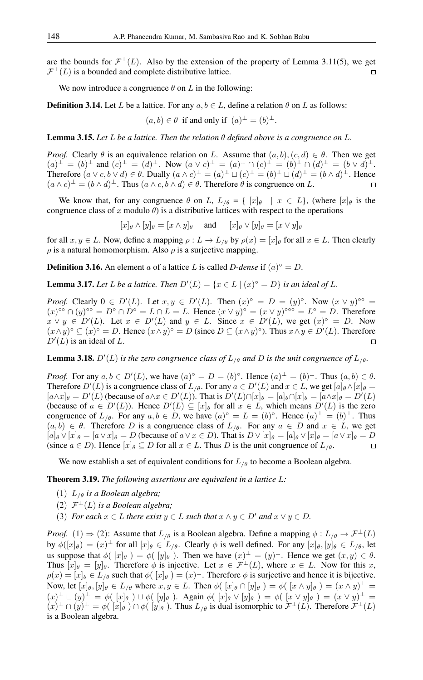are the bounds for  $\mathcal{F}^{\perp}(L)$ . Also by the extension of the property of Lemma 3.11(5), we get  $\mathcal{F}^{\perp}(L)$  is a bounded and complete distributive lattice.  $\Box$ 

We now introduce a congruence  $\theta$  on L in the following:

**Definition 3.14.** Let L be a lattice. For any  $a, b \in L$ , define a relation  $\theta$  on L as follows:

 $(a, b) \in \theta$  if and only if  $(a)^{\perp} = (b)^{\perp}$ .

Lemma 3.15. *Let* L *be a lattice. Then the relation* θ *defined above is a congruence on* L*.*

*Proof.* Clearly  $\theta$  is an equivalence relation on L. Assume that  $(a, b), (c, d) \in \theta$ . Then we get  $(a)^{\perp} = (b)^{\perp}$  and  $(c)^{\perp} = (d)^{\perp}$ . Now  $(a \vee c)^{\perp} = (a)^{\perp} \cap (c)^{\perp} = (b)^{\perp} \cap (d)^{\perp} = (b \vee d)^{\perp}$ . Therefore  $(a \lor c, b \lor d) \in \theta$ . Dually  $(a \land c)^{\perp} = (a)^{\perp} \sqcup (c)^{\perp} = (b)^{\perp} \sqcup (d)^{\perp} = (b \land d)^{\perp}$ . Hence  $(a \wedge c)^{\perp} = (b \wedge d)^{\perp}$ . Thus  $(a \wedge c, b \wedge d) \in \theta$ . Therefore  $\theta$  is congruence on L.  $\Box$ 

We know that, for any congruence  $\theta$  on L,  $L_{/\theta} = \{ [x]_{\theta} \mid x \in L \}$ , (where  $[x]_{\theta}$  is the congruence class of x modulo  $\theta$ ) is a distributive lattices with respect to the operations

$$
[x]_{\theta} \wedge [y]_{\theta} = [x \wedge y]_{\theta} \quad \text{and} \quad [x]_{\theta} \vee [y]_{\theta} = [x \vee y]_{\theta}
$$

for all  $x, y \in L$ . Now, define a mapping  $\rho: L \to L_{/\theta}$  by  $\rho(x) = [x]_{\theta}$  for all  $x \in L$ . Then clearly  $\rho$  is a natural homomorphism. Also  $\rho$  is a surjective mapping.

**Definition 3.16.** An element a of a lattice L is called D-dense if  $(a)^\circ = D$ .

**Lemma 3.17.** Let L be a lattice. Then  $D'(L) = \{x \in L \mid (x)^\circ = D\}$  is an ideal of L.

*Proof.* Clearly  $0 \in D'(L)$ . Let  $x, y \in D'(L)$ . Then  $(x)^\circ = D = (y)^\circ$ . Now  $(x \vee y)^\circ$  =  $(x)$ <sup>o</sup>°  $\cap$   $(y)$ <sup>o</sup>° =  $D$ °  $\cap$   $D$ ° =  $L \cap L = L$ . Hence  $(x \vee y)$ <sup>°</sup> =  $(x \vee y)$ <sup>°</sup>° =  $L$ ° =  $D$ . Therefore  $x \vee y \in D'(L)$ . Let  $x \in D'(L)$  and  $y \in L$ . Since  $x \in D'(L)$ , we get  $(x)^\circ = D$ . Now  $(x \wedge y)^\circ \subseteq (x)^\circ = D$ . Hence  $(x \wedge y)^\circ = D$  (since  $D \subseteq (x \wedge y)^\circ$ ). Thus  $x \wedge y \in D'(L)$ . Therefore  $D'(L)$  is an ideal of L.  $\Box$ 

**Lemma 3.18.**  $D'(L)$  *is the zero congruence class of*  $L_{/\theta}$  *and* D *is the unit congruence of*  $L_{/\theta}$ *.* 

*Proof.* For any  $a, b \in D'(L)$ , we have  $(a)^\circ = D = (b)^\circ$ . Hence  $(a)^\perp = (b)^\perp$ . Thus  $(a, b) \in \theta$ . Therefore  $D'(L)$  is a congruence class of  $L_{/\theta}$ . For any  $a \in D'(L)$  and  $x \in L$ , we get  $[a]_{\theta} \wedge [x]_{\theta} =$  $[a \wedge x]_{\theta} = D'(L)$  (because of  $a \wedge x \in D'(L)$ ). That is  $D'(L) \cap [x]_{\theta} = [a]_{\theta} \cap [x]_{\theta} = [a \wedge x]_{\theta} = D'(L)$ (because of  $a \in D'(L)$ ). Hence  $D'(L) \subseteq [x]_{\theta}$  for all  $x \in L$ , which means  $D'(L)$  is the zero congruence of  $L_{/\theta}$ . For any  $a, b \in D$ , we have  $(a)^\circ = L = (b)^\circ$ . Hence  $(a)^\perp = (b)^\perp$ . Thus  $(a, b) \in \theta$ . Therefore D is a congruence class of  $L_{\theta}$ . For any  $a \in D$  and  $x \in L$ , we get  $[a]_\theta \vee [x]_\theta = [a \vee x]_\theta = D$  (because of  $a \vee x \in D$ ). That is  $D \vee [x]_\theta = [a]_\theta \vee [x]_\theta = [a \vee x]_\theta = D$ (since  $a \in D$ ). Hence  $[x]_\theta \subseteq D$  for all  $x \in L$ . Thus D is the unit congruence of  $L_{\theta}$ .  $\Box$ 

We now establish a set of equivalent conditions for  $L_{\ell\theta}$  to become a Boolean algebra.

Theorem 3.19. *The following assertions are equivalent in a lattice* L*:*

- (1)  $L_{\theta}$  *is a Boolean algebra;*
- (2)  $\mathcal{F}^{\perp}(L)$  *is a Boolean algebra;*
- (3) *For each*  $x \in L$  *there exist*  $y \in L$  *such that*  $x \wedge y \in D'$  *and*  $x \vee y \in D$ *.*

*Proof.* (1)  $\Rightarrow$  (2): Assume that  $L_{\theta}$  is a Boolean algebra. Define a mapping  $\phi : L_{\theta} \to \mathcal{F}^{\perp}(L)$ by  $\phi([x]_{\theta}) = (x)^{\perp}$  for all  $[x]_{\theta} \in L_{/\theta}$ . Clearly  $\phi$  is well defined. For any  $[x]_{\theta}$ ,  $[y]_{\theta} \in L_{/\theta}$ , let us suppose that  $\phi([x]_{\theta}) = \phi([y]_{\theta})$ . Then we have  $(x)^{\perp} = (y)^{\perp}$ . Hence we get  $(x, y) \in \theta$ . Thus  $[x]_\theta = [y]_\theta$ . Therefore  $\phi$  is injective. Let  $x \in \mathcal{F}^\perp(L)$ , where  $x \in L$ . Now for this x,  $\rho(x) = [x]_{\theta} \in L_{/\theta}$  such that  $\phi([x]_{\theta}) = (x)^{\perp}$ . Therefore  $\phi$  is surjective and hence it is bijective. Now, let  $[x]_\theta, [y]_\theta \in L_{/\theta}$  where  $x, y \in L$ . Then  $\phi([x]_\theta \cap [y]_\theta) = \phi([x \wedge y]_\theta) = (x \wedge y)^\perp =$  $(x)^{\perp} \sqcup (y)^{\perp} = \phi([x]_{\theta}) \sqcup \phi([y]_{\theta}).$  Again  $\phi([x]_{\theta} \vee [y]_{\theta}) = \phi([x \vee y]_{\theta}) = (x \vee y)^{\perp} =$  $(x)^{\perp} \cap (y)^{\perp} = \phi([x]_{\theta}) \cap \phi([y]_{\theta})$ . Thus  $L_{/\theta}$  is dual isomorphic to  $\mathcal{F}^{\perp}(L)$ . Therefore  $\mathcal{F}^{\perp}(L)$ is a Boolean algebra.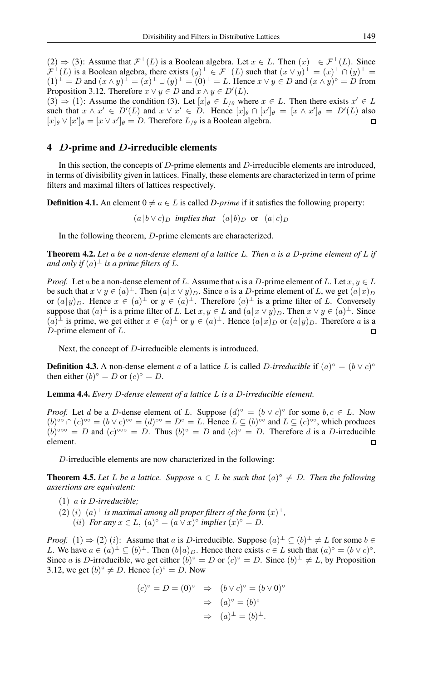$(2) \Rightarrow (3)$ : Assume that  $\mathcal{F}^{\perp}(L)$  is a Boolean algebra. Let  $x \in L$ . Then  $(x)^{\perp} \in \mathcal{F}^{\perp}(L)$ . Since  $\mathcal{F}^{\perp}(L)$  is a Boolean algebra, there exists  $(y)^{\perp} \in \mathcal{F}^{\perp}(L)$  such that  $(x \vee y)^{\perp} = (x)^{\perp} \cap (y)^{\perp} =$  $(1)^{\perp} = D$  and  $(x \wedge y)^{\perp} = (x)^{\perp} \sqcup (y)^{\perp} = (0)^{\perp} = L$ . Hence  $x \vee y \in D$  and  $(x \wedge y)^{\circ} = D$  from Proposition 3.12. Therefore  $x \lor y \in D$  and  $x \land y \in D'(L)$ .  $(3) \Rightarrow (1)$ : Assume the condition (3). Let  $[x]_{\theta} \in L_{/\theta}$  where  $x \in L$ . Then there exists  $x' \in L$ such that  $x \wedge x' \in D'(L)$  and  $x \vee x' \in D$ . Hence  $[x]_{\theta} \cap [x']_{\theta} = [x \wedge x']_{\theta} = D'(L)$  also  $[x]_\theta \vee [x']_\theta = [x \vee x']_\theta = D$ . Therefore  $L_{/\theta}$  is a Boolean algebra.  $\Box$ 

#### 4 D-prime and D-irreducible elements

In this section, the concepts of D-prime elements and D-irreducible elements are introduced, in terms of divisibility given in lattices. Finally, these elements are characterized in term of prime filters and maximal filters of lattices respectively.

**Definition 4.1.** An element  $0 \neq a \in L$  is called *D-prime* if it satisfies the following property:

$$
(a|b \lor c)_D
$$
 implies that  $(a|b)_D$  or  $(a|c)_D$ 

In the following theorem, D-prime elements are characterized.

Theorem 4.2. *Let* a *be a non-dense element of a lattice* L*. Then* a *is a* D*-prime element of* L *if* and only if  $(a)^\perp$  is a prime filters of L.

*Proof.* Let a be a non-dense element of L. Assume that a is a D-prime element of L. Let  $x, y \in L$ be such that  $x \vee y \in (a)^{\perp}$ . Then  $(a|x \vee y)_{D}$ . Since a is a D-prime element of L, we get  $(a|x)_{D}$ or  $(a|y)_D$ . Hence  $x \in (a)^{\perp}$  or  $y \in (a)^{\perp}$ . Therefore  $(a)^{\perp}$  is a prime filter of L. Conversely suppose that  $(a)^\perp$  is a prime filter of L. Let  $x, y \in L$  and  $(a|x \vee y)_D$ . Then  $x \vee y \in (a)^\perp$ . Since  $(a)^{\perp}$  is prime, we get either  $x \in (a)^{\perp}$  or  $y \in (a)^{\perp}$ . Hence  $(a|x)_D$  or  $(a|y)_D$ . Therefore a is a D-prime element of L.  $\Box$ 

Next, the concept of D-irreducible elements is introduced.

**Definition 4.3.** A non-dense element a of a lattice L is called D-irreducible if  $(a)^\circ = (b \vee c)^\circ$ then either  $(b)^\circ = D$  or  $(c)^\circ = D$ .

Lemma 4.4. *Every* D*-dense element of a lattice* L *is a* D*-irreducible element.*

*Proof.* Let d be a D-dense element of L. Suppose  $(d)^\circ = (b \vee c)^\circ$  for some  $b, c \in L$ . Now  $(b)$ <sup>o</sup>°  $\cap$   $(c)$ <sup>o</sup>°  $=$   $(b \vee c)$ <sup>o</sup>°  $=$   $(d)$ <sup>o</sup>°  $= D$ °  $= L$ . Hence  $L \subseteq (b)$ <sup>o</sup>° and  $L \subseteq (c)$ <sup>o</sup>°, which produces  $(b)$ <sup>oo</sup> = D and  $(c)$ <sup>oo</sup> = D. Thus  $(b)$ <sup>o</sup> = D and  $(c)$ <sup>o</sup> = D. Therefore d is a D-irreducible element.  $\Box$ 

D-irreducible elements are now characterized in the following:

**Theorem 4.5.** Let L be a lattice. Suppose  $a \in L$  be such that  $(a)^\circ \neq D$ . Then the following *assertions are equivalent:*

- (1) a *is* D*-irreducible;*
- (2) (*i*)  $(a)^{\perp}$  *is maximal among all proper filters of the form*  $(x)^{\perp}$ *,* (*ii*) *For any*  $x \in L$ ,  $(a)^\circ = (a \vee x)^\circ$  *implies*  $(x)^\circ = D$ .

*Proof.* (1)  $\Rightarrow$  (2) (*i*): Assume that *a* is *D*-irreducible. Suppose  $(a)^{\perp} \subseteq (b)^{\perp} \neq L$  for some  $b \in$ L. We have  $a \in (a)^{\perp} \subseteq (b)^{\perp}$ . Then  $(b|a)_D$ . Hence there exists  $c \in L$  such that  $(a)^\circ = (b \vee c)^\circ$ . Since a is D-irreducible, we get either  $(b)^\circ = D$  or  $(c)^\circ = D$ . Since  $(b)^\perp \neq L$ , by Proposition 3.12, we get  $(b)^\circ \neq D$ . Hence  $(c)^\circ = D$ . Now

$$
(c)° = D = (0)° \Rightarrow (b \lor c)° = (b \lor 0)°
$$

$$
\Rightarrow (a)° = (b)°
$$

$$
\Rightarrow (a)^\perp = (b)^\perp.
$$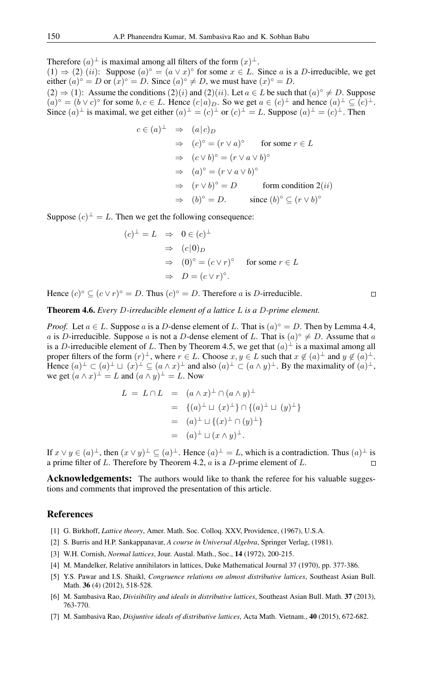Therefore  $(a)^{\perp}$  is maximal among all filters of the form  $(x)^{\perp}$ .

 $(1) \Rightarrow (2)$   $(ii)$ : Suppose  $(a)^\circ = (a \vee x)^\circ$  for some  $x \in L$ . Since a is a D-irreducible, we get either  $(a)^\circ = D$  or  $(x)^\circ = D$ . Since  $(a)^\circ \neq D$ , we must have  $(x)^\circ = D$ .

 $(2) \Rightarrow (1)$ : Assume the conditions  $(2)(i)$  and  $(2)(ii)$ . Let  $a \in L$  be such that  $(a)^\circ \neq D$ . Suppose  $(a)^\circ = (b \vee c)^\circ$  for some  $b, c \in L$ . Hence  $(c|a)_D$ . So we get  $a \in (c)^\perp$  and hence  $(a)^\perp \subseteq (c)^\perp$ . Since  $(a)^{\perp}$  is maximal, we get either  $(a)^{\perp} = (c)^{\perp}$  or  $(c)^{\perp} = L$ . Suppose  $(a)^{\perp} = (c)^{\perp}$ . Then

$$
c \in (a)^{\perp} \Rightarrow (a|c)_{D}
$$
  
\n
$$
\Rightarrow (c)^{\circ} = (r \lor a)^{\circ} \text{ for some } r \in L
$$
  
\n
$$
\Rightarrow (c \lor b)^{\circ} = (r \lor a \lor b)^{\circ}
$$
  
\n
$$
\Rightarrow (a)^{\circ} = (r \lor a \lor b)^{\circ}
$$
  
\n
$$
\Rightarrow (r \lor b)^{\circ} = D \text{ form condition } 2(ii)
$$
  
\n
$$
\Rightarrow (b)^{\circ} = D. \text{ since } (b)^{\circ} \subseteq (r \lor b)^{\circ}
$$

Suppose  $(c)^{\perp} = L$ . Then we get the following consequence:

$$
(c)^{\perp} = L \Rightarrow 0 \in (c)^{\perp}
$$
  
\n
$$
\Rightarrow (c|0)_{D}
$$
  
\n
$$
\Rightarrow (0)^{\circ} = (c \lor r)^{\circ} \text{ for some } r \in L
$$
  
\n
$$
\Rightarrow D = (c \lor r)^{\circ}.
$$

Hence  $(c)^\circ \subseteq (c \vee r)^\circ = D$ . Thus  $(c)^\circ = D$ . Therefore a is D-irreducible.

Theorem 4.6. *Every* D*-irreducible element of a lattice* L *is a* D*-prime element.*

*Proof.* Let  $a \in L$ . Suppose a is a D-dense element of L. That is  $(a)^\circ = D$ . Then by Lemma 4.4, a is D-irreducible. Suppose a is not a D-dense element of L. That is  $(a)^\circ \neq D$ . Assume that a is a D-irreducible element of L. Then by Theorem 4.5, we get that  $(a)^{\perp}$  is a maximal among all proper filters of the form  $(r)^{\perp}$ , where  $r \in L$ . Choose  $x, y \in L$  such that  $x \notin (a)^{\perp}$  and  $y \notin (a)^{\perp}$ . Hence  $(a)^{\perp} \subset (a)^{\perp} \sqcup (x)^{\perp} \subseteq (a \wedge x)^{\perp}$  and also  $(a)^{\perp} \subset (a \wedge y)^{\perp}$ . By the maximality of  $(a)^{\perp}$ , we get  $(a \wedge x)^{\perp} = L$  and  $(a \wedge y)^{\perp} = L$ . Now

$$
L = L \cap L = (a \wedge x)^{\perp} \cap (a \wedge y)^{\perp}
$$
  
= { $(a)^{\perp} \sqcup (x)^{\perp}$ } \cap { $(a)^{\perp} \sqcup (y)^{\perp}$ }  
=  $(a)^{\perp} \sqcup (x)^{\perp} \cap (y)^{\perp}$ }  
=  $(a)^{\perp} \sqcup (x \wedge y)^{\perp}$ .

If  $x \vee y \in (a)^{\perp}$ , then  $(x \vee y)^{\perp} \subseteq (a)^{\perp}$ . Hence  $(a)^{\perp} = L$ , which is a contradiction. Thus  $(a)^{\perp}$  is a prime filter of  $L$ . Therefore by Theorem 4.2,  $a$  is a  $D$ -prime element of  $L$ .

**Acknowledgements:** The authors would like to thank the referee for his valuable suggestions and comments that improved the presentation of this article.

### <span id="page-7-0"></span>References

- <span id="page-7-1"></span>[1] G. Birkhoff, *Lattice theory*, Amer. Math. Soc. Colloq. XXV, Providence, (1967), U.S.A.
- <span id="page-7-4"></span>[2] S. Burris and H.P. Sankappanavar, *A course in Universal Algebra*, Springer Verlag, (1981).
- <span id="page-7-3"></span>[3] W.H. Cornish, *Normal lattices*, Jour. Austal. Math., Soc., 14 (1972), 200-215.
- <span id="page-7-2"></span>[4] M. Mandelker, Relative annihilators in lattices, Duke Mathematical Journal 37 (1970), pp. 377-386.
- [5] Y.S. Pawar and I.S. Shaikl, *Congruence relations on almost distributive lattices*, Southeast Asian Bull. Math. 36 (4) (2012), 518-528.
- [6] M. Sambasiva Rao, *Divisibility and ideals in distributive lattices*, Southeast Asian Bull. Math. 37 (2013), 763-770.
- [7] M. Sambasiva Rao, *Disjuntive ideals of distributive lattices*, Acta Math. Vietnam., 40 (2015), 672-682.

$$
\Box
$$